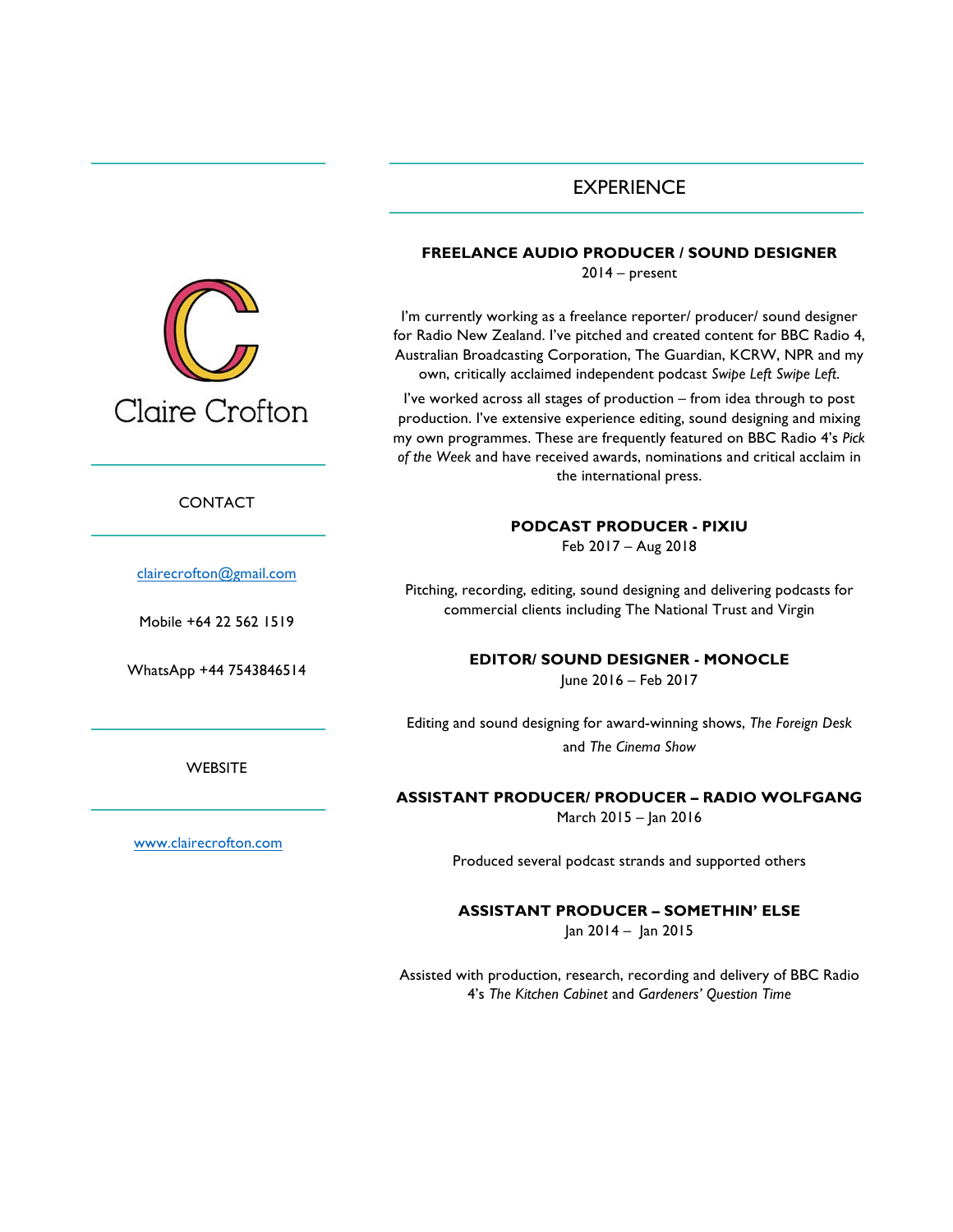# EXPERIENCE



I'm currently working as a freelance reporter/ producer/ sound designer for Radio New Zealand. I've pitched and created content for BBC Radio 4, Australian Broadcasting Corporation, The Guardian, KCRW, NPR and my own, critically acclaimed independent podcast *Swipe Left Swipe Left*.

I've worked across all stages of production – from idea through to post production. I've extensive experience editing, sound designing and mixing my own programmes. These are frequently featured on BBC Radio 4's *Pick of the Week* and have received awards, nominations and critical acclaim in the international press.

#### **PODCAST PRODUCER - PIXIU**

Feb 2017 – Aug 2018

Pitching, recording, editing, sound designing and delivering podcasts for commercial clients including The National Trust and Virgin

**EDITOR/ SOUND DESIGNER - MONOCLE**

June 2016 – Feb 2017

Editing and sound designing for award-winning shows, *The Foreign Desk* and *The Cinema Show*

**ASSISTANT PRODUCER/ PRODUCER – RADIO WOLFGANG** March 2015 – Jan 2016

Produced several podcast strands and supported others

**ASSISTANT PRODUCER – SOMETHIN' ELSE** Jan 2014 – Jan 2015

Assisted with production, research, recording and delivery of BBC Radio 4's *The Kitchen Cabinet* and *Gardeners' Question Time*



CONTACT

clairecrofton@gmail.com

Mobile +64 22 562 1519

WhatsApp +44 7543846514

**WEBSITE** 

www.clairecrofton.com